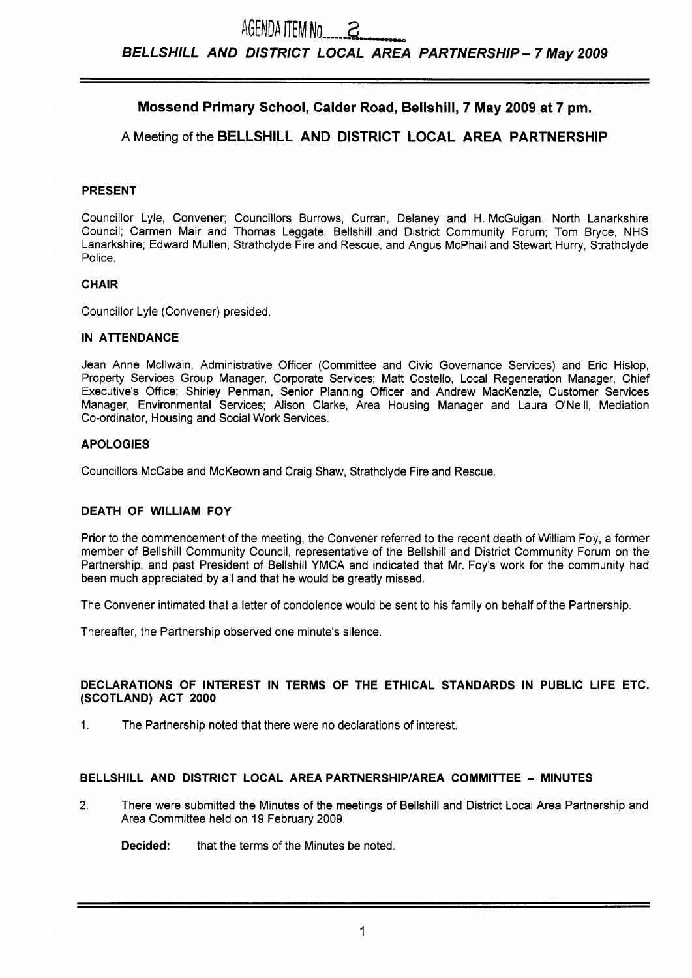# **Mossend Primary School, Calder Road, Bellshill, 7 May 2009 at 7 pm.**

# **A** Meeting of the **BELLSHILL AND DISTRICT LOCAL AREA PARTNERSHIP**

### **PRESENT**

Councillor Lyle, Convener; Councillors Burrows, Curran, Delaney and H. McGuigan, North Lanarkshire Council; Carmen Mair and Thomas Leggate, Bellshill and District Community Forum; Tom Bryce, NHS Lanarkshire; Edward Mullen, Strathclyde Fire and Rescue, and Angus McPhail and Stewart Hurry, Strathclyde Police.

#### **CHAIR**

Councillor Lyle (Convener) presided.

#### **IN ATTENDANCE**

Jean Anne Mcllwain, Administrative Officer (Committee and Civic Governance Services) and Eric Hislop, Property Services Group Manager, Corporate Services; Matt Costello, Local Regeneration Manager, Chief Executive's Office; Shirley Penman, Senior Planning Officer and Andrew MacKenzie, Customer Services Manager, Environmental Services; Alison Clarke, Area Housing Manager and Laura O'Neill, Mediation Co-ordinator, Housing and Social Work Services.

#### **APOLOGIES**

Councillors McCabe and McKeown and Craig Shaw, Strathclyde Fire and Rescue.

#### **DEATH OF WlLLlAM FOY**

Prior to the commencement of the meeting, the Convener referred to the recent death of William Foy, a former member of Bellshill Community Council, representative of the Bellshill and District Community Forum on the Partnership, and past President of Bellshill YMCA and indicated that Mr. Foy's work for the community had been much appreciated by all and that he would be greatly missed.

The Convener intimated that a letter of condolence would be sent to his family on behalf of the Partnership.

Thereafter, the Partnership observed one minute's silence.

#### **DECLARATIONS OF INTEREST IN TERMS OF THE ETHICAL STANDARDS IN PUBLIC LIFE ETC. (SCOTLAND) ACT 2000**

1. The Partnership noted that there were no declarations of interest.

#### **BELLSHILL AND DISTRICT LOCAL AREA PARTNERSHlPlAREA COMMITTEE** - **MINUTES**

**2.** There were submitted the Minutes of the meetings of Bellshill and District Local Area Partnership and Area Committee held on 19 February 2009.

**Decided:** that the terms of the Minutes be noted.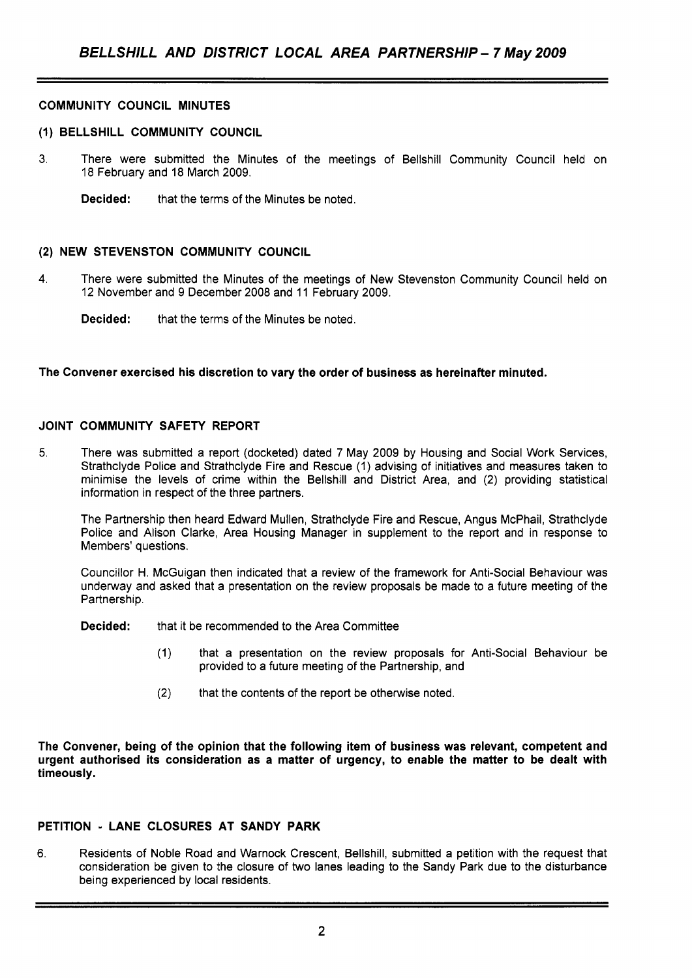#### **COMMUNITY COUNCIL MINUTES**

#### **(1) BELLSHILL COMMUNITY COUNCIL**

- 3. There were submitted the Minutes of the meetings of Bellshill Community Council held on 18 February and 18 March 2009.
	- **Decided:** that the terms of the Minutes be noted.

#### **(2) NEW STEVENSTON COMMUNITY COUNCIL**

- **4.** There were submitted the Minutes of the meetings of New Stevenston Community Council held on 12 November and 9 December 2008 and 11 February 2009.
	- **Decided:** that the terms of the Minutes be noted.

#### **The Convener exercised his discretion to vary the order of business as hereinafter minuted.**

#### **JOINT COMMUNITY SAFETY REPORT**

5. There was submitted a report (docketed) dated 7 May 2009 by Housing and Social Work Services, Strathclyde Police and Strathclyde Fire and Rescue (1) advising of initiatives and measures taken to minimise the levels of crime within the Bellshill and District Area, and (2) providing statistical information in respect of the three partners.

The Partnership then heard Edward Mullen, Strathclyde Fire and Rescue, Angus McPhail, Strathclyde Police and Alison Clarke, Area Housing Manager in supplement to the report and in response to Members' questions.

Councillor H. McGuigan then indicated that a review of the framework for Anti-Social Behaviour was underway and asked that a presentation on the review proposals be made to a future meeting of the Partnership.

**Decided:** that it be recommended to the Area Committee

- (1) that a presentation on the review proposals for Anti-Social Behaviour be provided to a future meeting of the Partnership, and
- (2) that the contents of the report be otherwise noted.

**The Convener, being of the opinion that the following item of business was relevant, competent and urgent authorised its consideration as a matter of urgency, to enable the matter to be dealt with timeously.** 

# **PETITION** - **LANE CLOSURES AT SANDY PARK**

6. Residents of Noble Road and Warnock Crescent, Bellshill, submitted a petition with the request that consideration be given to the closure of two lanes leading to the Sandy Park due to the disturbance being experienced by local residents.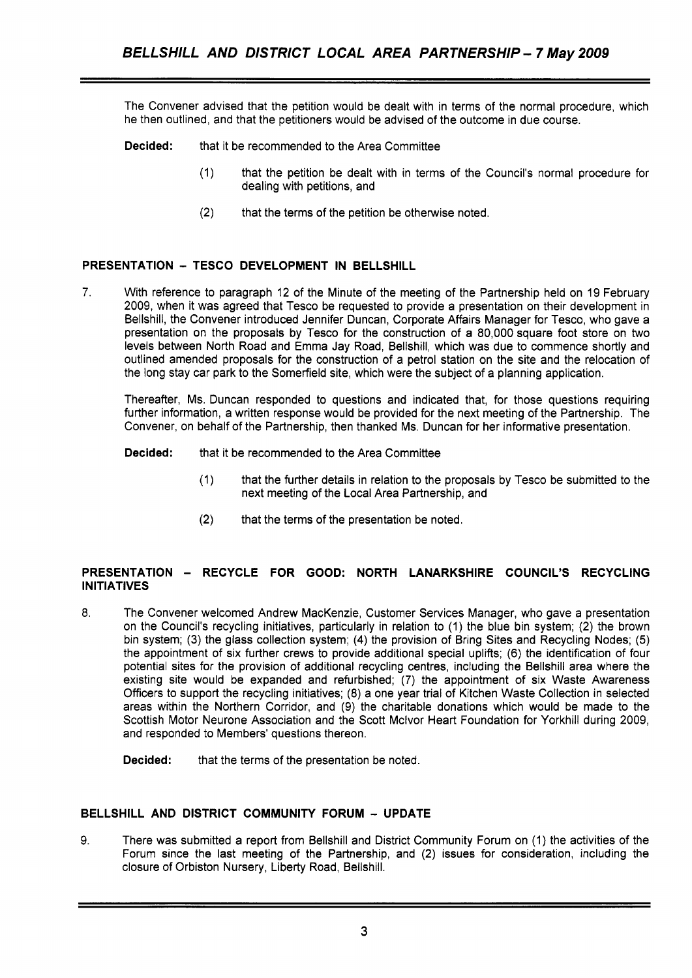The Convener advised that the petition would be dealt with in terms of the normal procedure, which he then outlined, and that the petitioners would be advised of the outcome in due course.

- **Decided:** that it be recommended to the Area Committee
	- (1) that the petition be dealt with in terms of the Council's normal procedure for dealing with petitions, and
	- **(2)** that the terms of the petition be otherwise noted.

# **PRESENTATION** - **TESCO DEVELOPMENT IN BELLSHILL**

**7.** With reference to paragraph 12 of the Minute of the meeting of the Partnership held on 19 February 2009, when it was agreed that Tesco be requested to provide a presentation on their development in Bellshill, the Convener introduced Jennifer Duncan, Corporate Affairs Manager for Tesco, who gave a presentation on the proposals by Tesco for the construction of a 80,000 square foot store on two levels between North Road and Emma Jay Road, Bellshill, which was due to commence shortly and outlined amended proposals for the construction of a petrol station on the site and the relocation of the long stay car park to the Somerfield site, which were the subject of a planning application.

Thereafter, Ms. Duncan responded to questions and indicated that, for those questions requiring further information, a written response would be provided for the next meeting of the Partnership. The Convener, on behalf of the Partnership, then thanked Ms. Duncan for her informative presentation.

- **Decided:** that it be recommended to the Area Committee
	- (1) that the further details in relation to the proposals by Tesco be submitted to the next meeting of the Local Area Partnership, and
	- **(2)** that the terms of the presentation be noted.

# **PRESENTATION** - **RECYCLE FOR GOOD: NORTH LANARKSHIRE COUNCIL'S RECYCLING INITIATIVES**

8. The Convener welcomed Andrew MacKenzie, Customer Services Manager, who gave a presentation on the Council's recycling initiatives, particularly in relation to (1) the blue bin system; (2) the brown bin system; (3) the glass collection system; **(4)** the provision of Bring Sites and Recycling Nodes; (5) the appointment of six further crews to provide additional special uplifts; (6) the identification of four potential sites for the provision of additional recycling centres, including the Bellshill area where the existing site would be expanded and refurbished; (7) the appointment of six Waste Awareness Officers to support the recycling initiatives; (8) a one year trial of Kitchen Waste Collection in selected areas within the Northern Corridor, and (9) the charitable donations which would be made to the Scottish Motor Neurone Association and the Scott Mclvor Heart Foundation for Yorkhill during 2009, and responded to Members' questions thereon.

**Decided:** that the terms of the presentation be noted.

# **BELLSHILL AND DISTRICT COMMUNITY FORUM** - **UPDATE**

**9.** There was submitted a report from Bellshill and District Community Forum on (1) the activities of the Forum since the last meeting of the Partnership, and (2) issues for consideration, including the closure of Orbiston Nursery, Liberty Road, Bellshill.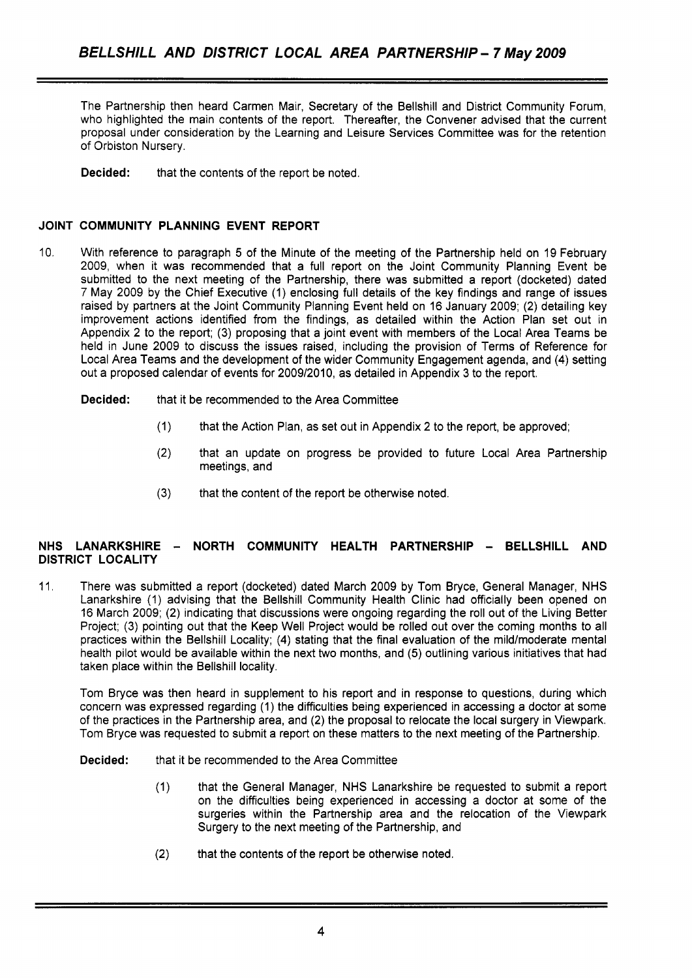The Partnership then heard Carmen Mair, Secretary of the Bellshill and District Community Forum, who highlighted the main contents of the report. Thereafter, the Convener advised that the current proposal under consideration by the Learning and Leisure Services Committee was for the retention of Orbiston Nursery.

**Decided:** that the contents of the report be noted.

# **JOINT COMMUNITY PLANNING EVENT REPORT**

- 10. With reference to paragraph 5 of the Minute of the meeting of the Partnership held on 19 February 2009, when it was recommended that a full report on the Joint Community Planning Event be submitted to the next meeting of the Partnership, there was submitted a report (docketed) dated 7 May 2009 by the Chief Executive (1) enclosing full details of the key findings and range of issues raised by partners at the Joint Community Planning Event held on 16 January 2009; (2) detailing key improvement actions identified from the findings, as detailed within the Action Plan set out in Appendix 2 to the report; (3) proposing that a joint event with members of the Local Area Teams be held in June 2009 to discuss the issues raised, including the provision of Terms of Reference for Local Area Teams and the development of the wider Community Engagement agenda, and **(4)** setting out a proposed calendar of events for 200912010, as detailed in Appendix 3 to the report.
	- **Decided:** that it be recommended to the Area Committee
		- (1) that the Action Plan, as set out in Appendix 2 to the report, be approved;
		- (2) that an update on progress be provided to future Local Area Partnership meetings, and
		- **(3)** that the content of the report be otherwise noted.

#### **NHS LANARKSHIRE** - **NORTH COMMUNITY HEALTH PARTNERSHIP** - **BELLSHILL AND DISTRICT LOCALITY**

11. There was submitted a report (docketed) dated March 2009 by Tom Bryce, General Manager, NHS Lanarkshire (1) advising that the Bellshill Community Health Clinic had officially been opened on 16 March 2009; (2) indicating that discussions were ongoing regarding the roll out of the Living Better Project; (3) pointing out that the Keep Well Project would be rolled out over the coming months to all practices within the Bellshill Locality; **(4)** stating that the final evaluation of the mild/moderate mental health pilot would be available within the next two months, and (5) outlining various initiatives that had taken place within the Bellshill locality.

Tom Bryce was then heard in supplement to his report and in response to questions, during which concern was expressed regarding (1) the difficulties being experienced in accessing a doctor at some of the practices in the Partnership area, and (2) the proposal to relocate the local surgery in Viewpark. Tom Bryce was requested to submit a report on these matters to the next meeting of the Partnership.

**Decided:** that it be recommended to the Area Committee

- (1) that the General Manager, NHS Lanarkshire be requested to submit a report on the difficulties being experienced in accessing a doctor at some of the surgeries within the Partnership area and the relocation of the Viewpark Surgery to the next meeting of the Partnership, and
- (2) that the contents of the report be otherwise noted.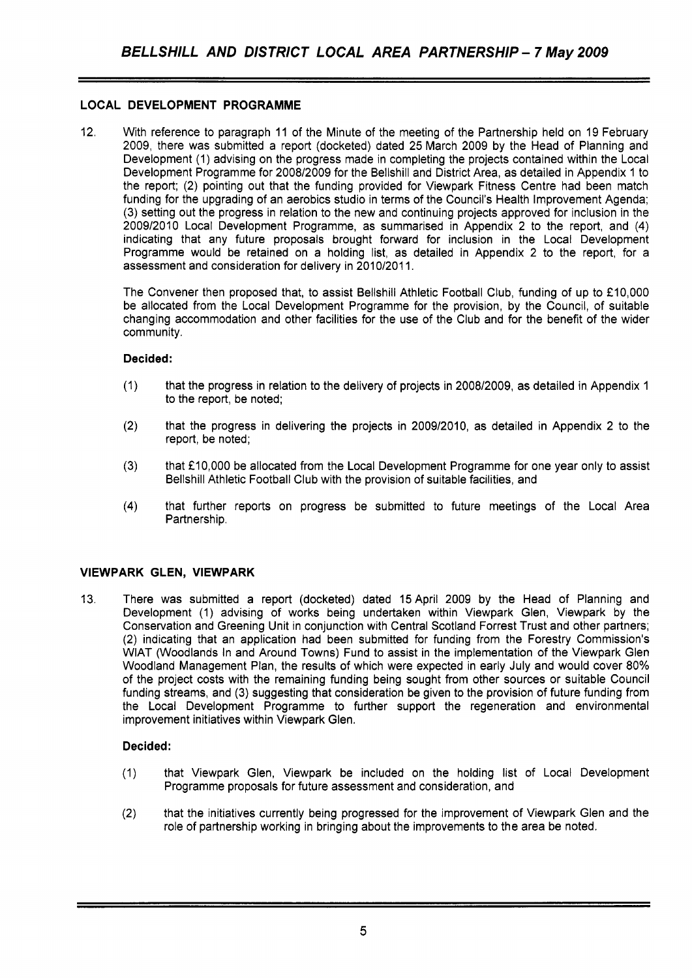# **LOCAL DEVELOPMENT PROGRAMME**

12. With reference to paragraph 11 of the Minute of the meeting of the Partnership held on 19 February 2009, there was submitted a report (docketed) dated 25 March 2009 by the Head of Planning and Development (1) advising on the progress made in completing the projects contained within the Local Development Programme for 2008/2009 for the Bellshill and District Area, as detailed in Appendix 1 to the report; (2) pointing out that the funding provided for Viewpark Fitness Centre had been match funding for the upgrading of an aerobics studio in terms of the Council's Health Improvement Agenda; (3) setting out the progress in relation to the new and continuing projects approved for inclusion in the 2009/2010 Local Development Programme, as summarised in Appendix 2 to the report, and **(4)**  indicating that any future proposals brought forward for inclusion in the Local Development Programme would be retained on a holding list, as detailed in Appendix 2 to the report, for a assessment and consideration for delivery in 2010/2011.

The Convener then proposed that, to assist Bellshill Athletic Football Club, funding of up to £10,000 be allocated from the Local Development Programme for the provision, by the Council, of suitable changing accommodation and other facilities for the use of the Club and for the benefit of the wider community.

# **Decided:**

- (1) that the progress in relation to the delivery of projects in 2008/2009, as detailed in Appendix 1 to the report, be noted;
- (2) that the progress in delivering the projects in 2009/2010, as detailed in Appendix 2 to the report, be noted;
- (3) that €1 0,000 be allocated from the Local Development Programme for one year only to assist Bellshill Athletic Football Club with the provision of suitable facilities, and
- **(4)** that further reports on progress be submitted to future meetings of the Local Area Partnership.

#### **VIEWPARK GLEN, VIEWPARK**

13. There was submitted a report (docketed) dated 15 April 2009 by the Head of Planning and Development (1) advising of works being undertaken within Viewpark Glen, Viewpark by the Conservation and Greening Unit in conjunction with Central Scotland Forrest Trust and other partners; (2) indicating that an application had been submitted for funding from the Forestry Commission's WlAT (Woodlands In and Around Towns) Fund to assist in the implementation of the Viewpark Glen Woodland Management Plan, the results of which were expected in early July and would cover 80% of the project costs with the remaining funding being sought from other sources or suitable Council funding streams, and (3) suggesting that consideration be given to the provision of future funding from the Local Development Programme to further support the regeneration and environmental improvement initiatives within Viewpark Glen.

#### **Decided:**

- (1) that Viewpark Glen, Viewpark be included on the holding list of Local Development Programme proposals for future assessment and consideration, and
- (2) that the initiatives currently being progressed for the improvement of Viewpark Glen and the role of partnership working in bringing about the improvements to the area be noted.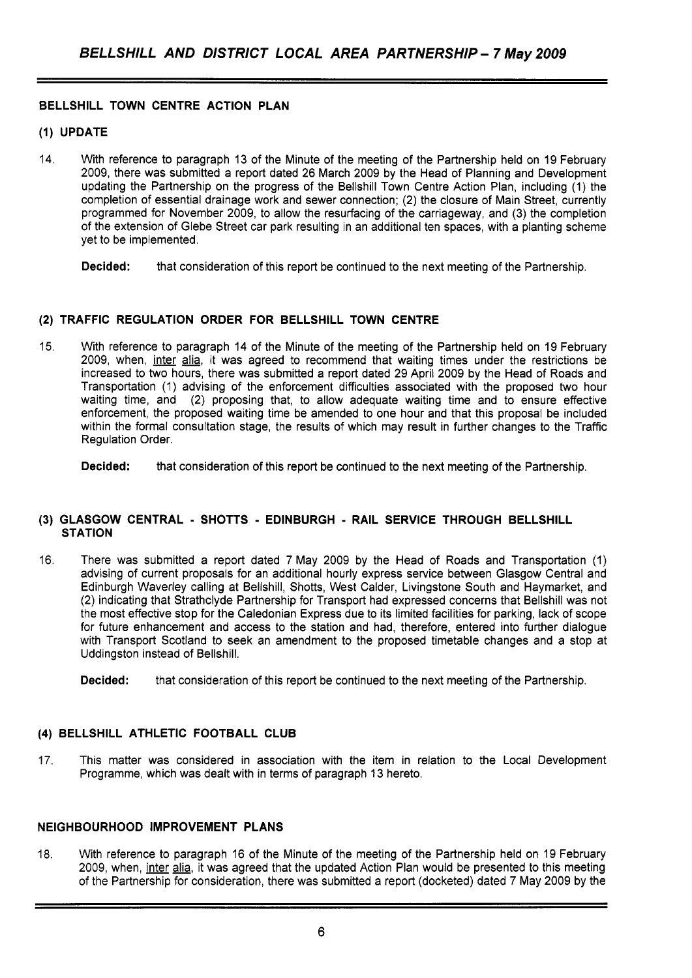# **BELLSHILL TOWN CENTRE ACTION PLAN**

#### **(1) UPDATE**

14. With reference to paragraph 13 of the Minute of the meeting of the Partnership held on 19 February 2009, there was submitted a report dated 26 March 2009 by the Head of Planning and Development updating the Partnership on the progress of the Bellshill Town Centre Action Plan, including (1) the completion of essential drainage work and sewer connection; (2) the closure of Main Street, currently programmed for November 2009, to allow the resurfacing of the carriageway, and (3) the completion of the extension of Glebe Street car park resulting in an additional ten spaces, with a planting scheme yet to be implemented.

**Decided:** that consideration of this report be continued to the next meeting of the Partnership.

#### **(2) TRAFFIC REGULATION ORDER FOR BELLSHILL TOWN CENTRE**

15. With reference to paragraph 14 of the Minute of the meeting of the Partnership held on 19 February 2009, when, inter alia, it was agreed to recommend that waiting times under the restrictions be increased to two hours, there was submitted a report dated 29 April 2009 by the Head of Roads and Transportation (1) advising of the enforcement difficulties associated with the proposed two hour waiting time, and (2) proposing that, to allow adequate waiting time and to ensure effective enforcement, the proposed waiting time be amended to one hour and that this proposal be included within the formal consultation stage, the results of which may result in further changes to the Traffic Regulation Order.

**Decided:** that consideration of this report be continued to the next meeting of the Partnership.

#### **(3) GLASGOW CENTRAL** - **SHOTTS** - **EDINBURGH** - **RAIL SERVICE THROUGH BELLSHILL STATION**

16. There was submitted a report dated 7 May 2009 by the Head of Roads and Transportation (1) advising of current proposals for an additional hourly express service between Glasgow Central and Edinburgh Waverley calling at Bellshill, Shotts, West Calder, Livingstone South and Haymarket, and (2) indicating that Strathclyde Partnership for Transport had expressed concerns that Bellshill was not the most effective stop for the Caledonian Express due to its limited facilities for parking, lack of scope for future enhancement and access to the station and had, therefore, entered into further dialogue with Transport Scotland to seek an amendment to the proposed timetable changes and a stop at Uddingston instead of Bellshill.

#### **(4) BELLSHILL ATHLETIC FOOTBALL CLUB**

17. This matter was considered in association with the item in relation to the Local Development Programme, which was dealt with in terms of paragraph 13 hereto.

#### **NEIGHBOURHOOD IMPROVEMENT PLANS**

18. With reference to paragraph 16 of the Minute of the meeting of the Partnership held on 19 February 2009, when, inter alia, it was agreed that the updated Action Plan would be presented to this meeting of the Partnership for consideration, there was submitted a report (docketed) dated 7 May 2009 by the

**Decided:** that consideration of this report be continued to the next meeting of the Partnership.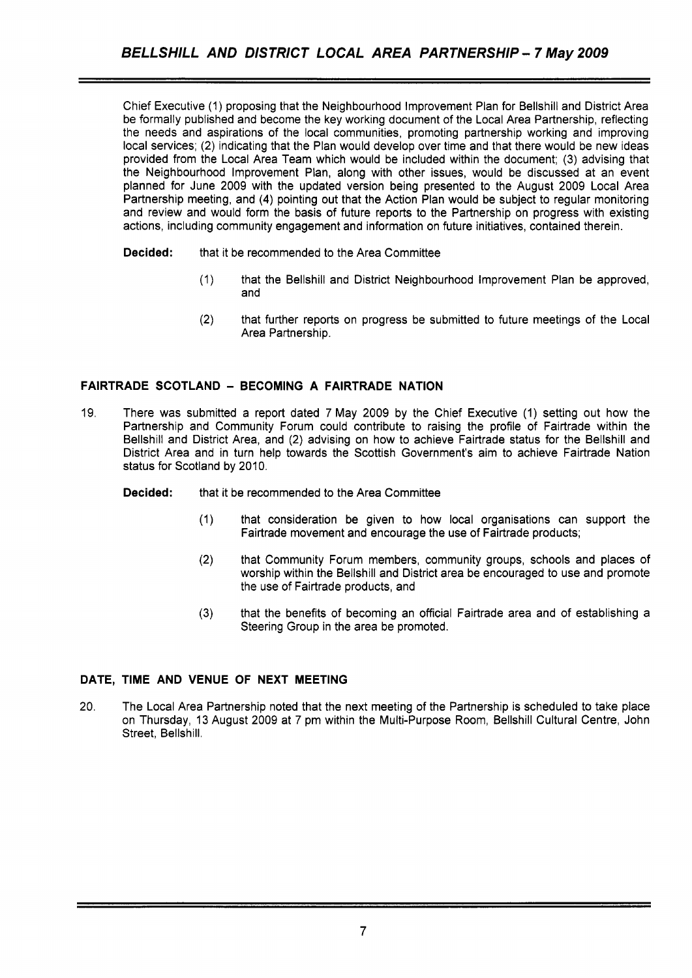Chief Executive (1) proposing that the Neighbourhood Improvement Plan for Bellshill and District Area be formally published and become the key working document of the Local Area Partnership, reflecting the needs and aspirations of the local communities, promoting partnership working and improving local services; (2) indicating that the Plan would develop over time and that there would be new ideas provided from the Local Area Team which would be included within the document; (3) advising that the Neighbourhood Improvement Plan, along with other issues, would be discussed at an event planned for June 2009 with the updated version being presented to the August 2009 Local Area Partnership meeting, and **(4)** pointing out that the Action Plan would be subject to regular monitoring and review and would form the basis of future reports to the Partnership on progress with existing actions, including community engagement and information on future initiatives, contained therein.

# **Decided:** that it be recommended to the Area Committee

- (1) that the Bellshill and District Neighbourhood Improvement Plan be approved, and
- (2) that further reports on progress be submitted to future meetings of the Local Area Partnership.

# **FAIRTRADE SCOTLAND** - **BECOMING A FAIRTRADE NATION**

- 19. There was submitted a report dated 7 May 2009 by the Chief Executive (1) setting out how the Partnership and Community Forum could contribute to raising the profile of Fairtrade within the Bellshill and District Area, and (2) advising on how to achieve Fairtrade status for the Bellshill and District Area and in turn help towards the Scottish Government's aim to achieve Fairtrade Nation status for Scotland by 2010.
	- **Decided:** that it be recommended to the Area Committee
		- (1) that consideration be given to how local organisations can support the Fairtrade movement and encourage the use of Fairtrade products;
		- (2) that Community Forum members, community groups, schools and places of worship within the Bellshill and District area be encouraged to use and promote the use of Fairtrade products, and
		- (3) that the benefits of becoming an official Fairtrade area and of establishing a Steering Group in the area be promoted.

#### **DATE, TIME AND VENUE OF NEXT MEETING**

20. The Local Area Partnership noted that the next meeting of the Partnership is scheduled to take place on Thursday, 13 August 2009 at 7 pm within the Multi-Purpose Room, Bellshill Cultural Centre, John Street, Bellshill.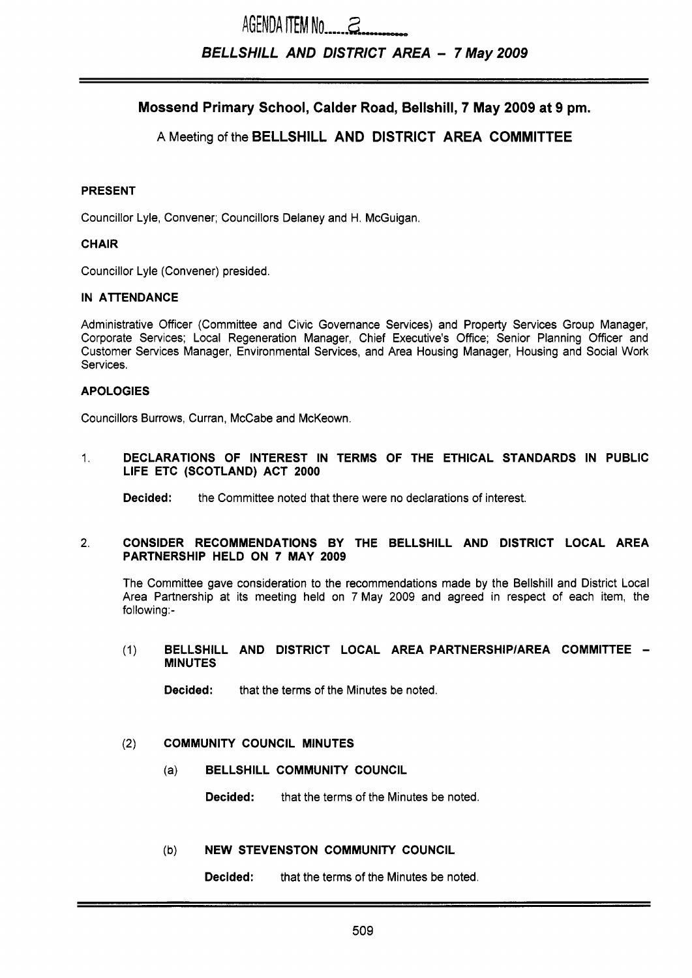# AGENDA **ITEM No** ....,.. &- *BELLSHILL AND DISTRICT AREA* - *7 May2009*

Mossend Primary School, Calder Road, Bellshill, 7 May 2009 at 9 pm.

# A Meeting of the BELLSHILL AND DISTRICT AREA COMMITTEE

#### PRESENT

Councillor Lyle, Convener; Councillors Delaney and H. McGuigan.

#### **CHAIR**

Councillor Lyle (Convener) presided.

#### IN ATTENDANCE

Administrative Officer (Committee and Civic Governance Services) and Property Services Group Manager, Corporate Services; Local Regeneration Manager, Chief Executive's Office; Senior Planning Officer and Customer Services Manager, Environmental Services, and Area Housing Manager, Housing and Social Work Services.

#### APOLOGIES

Councillors Burrows, Curran, McCabe and McKeown.

1. DECLARATIONS OF INTEREST IN TERMS OF THE ETHICAL STANDARDS IN PUBLIC LIFE ETC (SCOTLAND) ACT 2000

**Decided:** the Committee noted that there were no declarations of interest.

#### 2. CONSIDER RECOMMENDATIONS BY THE BELLSHILL AND DISTRICT LOCAL AREA PARTNERSHIP HELD ON 7 MAY 2009

The Committee gave consideration to the recommendations made by the Bellshill and District Local Area Partnership at its meeting held on 7 May 2009 and agreed in respect of each item, the following:-

(1) BELLSHILL AND DISTRICT LOCAL AREA PARTNERSHIPIAREA COMMITTEE - MINUTES

**Decided:** that the terms of the Minutes be noted.

#### (2) COMMUNITY COUNCIL MINUTES

(a) BELLSHILL COMMUNITY COUNCIL

Decided: that the terms of the Minutes be noted.

#### (b) NEW STEVENSTON COMMUNITY COUNCIL

**Decided:** that the terms of the Minutes be noted.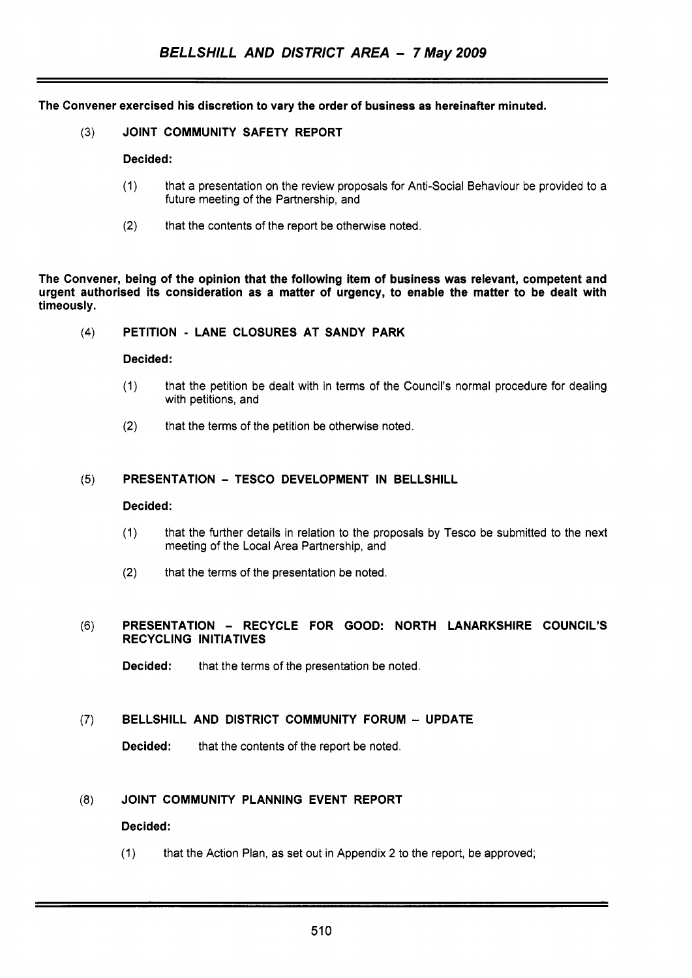The Convener exercised his discretion to vary the order of business as hereinafter minuted.

(3) JOINT COMMUNITY SAFETY REPORT

#### Decided:

- (1) that a presentation on the review proposals for Anti-Social Behaviour be provided to a future meeting of the Partnership, and
- **(2)** that the contents of the report be otherwise noted.

The Convener, being of the opinion that the following item of business was relevant, competent and urgent authorised its consideration as a matter of urgency, to enable the matter to be dealt with timeously.

#### **(4)** PETITION - LANE CLOSURES AT SANDY PARK

#### Decided:

- (1) that the petition be dealt with in terms of the Council's normal procedure for dealing with petitions, and
- **(2)** that the terms of the petition be otherwise noted.

#### (5) PRESENTATION - TESCO DEVELOPMENT IN BELLSHILL

#### Decided:

- (1) that the further details in relation to the proposals by Tesco be submitted to the next meeting of the Local Area Partnership, and
- **(2)** that the terms of the presentation **be** noted.

#### (6) PRESENTATION - RECYCLE FOR GOOD: NORTH LANARKSHIRE COUNCIL'S RECYCLING INITIATIVES

Decided: that the terms of the presentation be noted.

# (7) BELLSHILL AND DISTRICT COMMUNITY FORUM - UPDATE

Decided: that the contents of the report be noted.

### **(8)** JOINT COMMUNITY PLANNING EVENT REPORT

#### Decided:

(1) that the Action Plan, as set out in Appendix 2 to the report, be approved;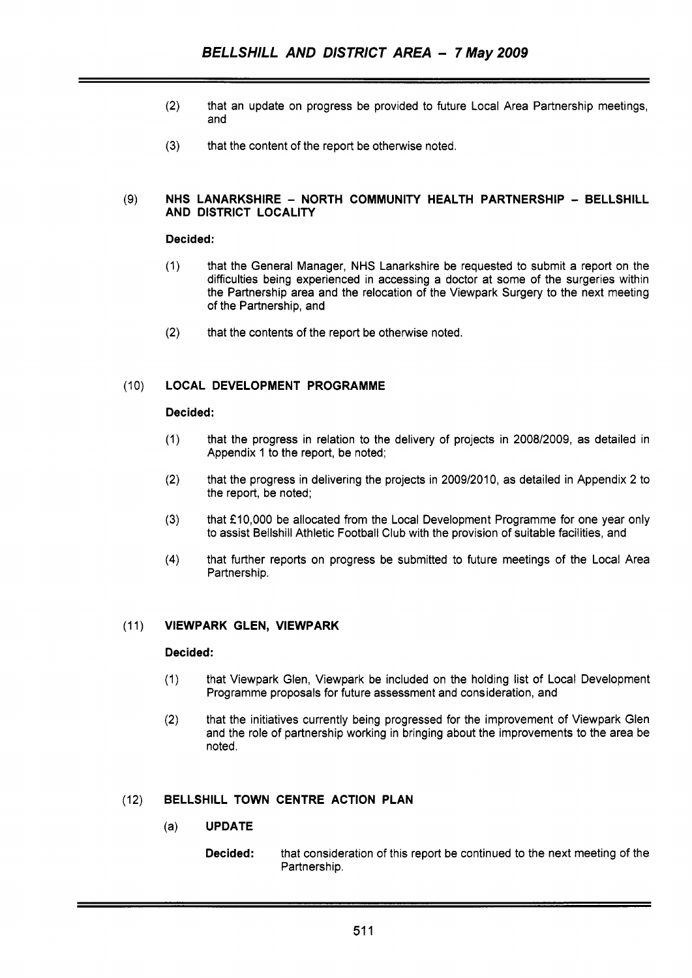- (2) that an update on progress be provided to future Local Area Partnership meetings, and
- **(3)** that the content of the report be otherwise noted.

#### **NHS LANARKSHIRE** - **NORTH COMMUNITY HEALTH PARTNERSHIP** - **BELLSHILL**   $(9)$ **AND DISTRICT LOCALITY**

#### **Decided:**

- (1) that the General Manager, **NHS** Lanarkshire be requested to submit a report on the difficulties being experienced in accessing a doctor at some of the surgeries within the Partnership area and the relocation of the Viewpark Surgery to the next meeting of the Partnership, and
- (2) that the contents of the report be otherwise noted.

#### $(10)$ **LOCAL DEVELOPMENT PROGRAMME**

#### **Decided:**

- (1) that the progress in relation to the delivery of projects in 2008/2009, as detailed in Appendix 1 to the report, be noted;
- (2) that the progress in delivering the projects in 2009/2010, as detailed in Appendix 2 to the report, be noted;
- (3) that £10,000 be allocated from the Local Development Programme for one year only to assist Bellshill Athletic Football Club with the provision of suitable facilities, and
- **(4)** that further reports on progress be submitted to future meetings of the Local Area Partnership.

#### **VIEWPARK GLEN, VIEWPARK**   $(11)$

#### **Decided:**

- (1) that Viewpark Glen, Viewpark be included on the holding list of Local Development Programme proposals for future assessment and consideration, and
- (2) that the initiatives currently being progressed for the improvement of Viewpark Glen and the role of partnership working in bringing about the improvements to the area be noted.

#### $(12)$ **BELLSHILL TOWN CENTRE ACTION PLAN**

- (a) **UPDATE** 
	- **Decided:** that consideration of this report be continued to the next meeting of the Partnership.